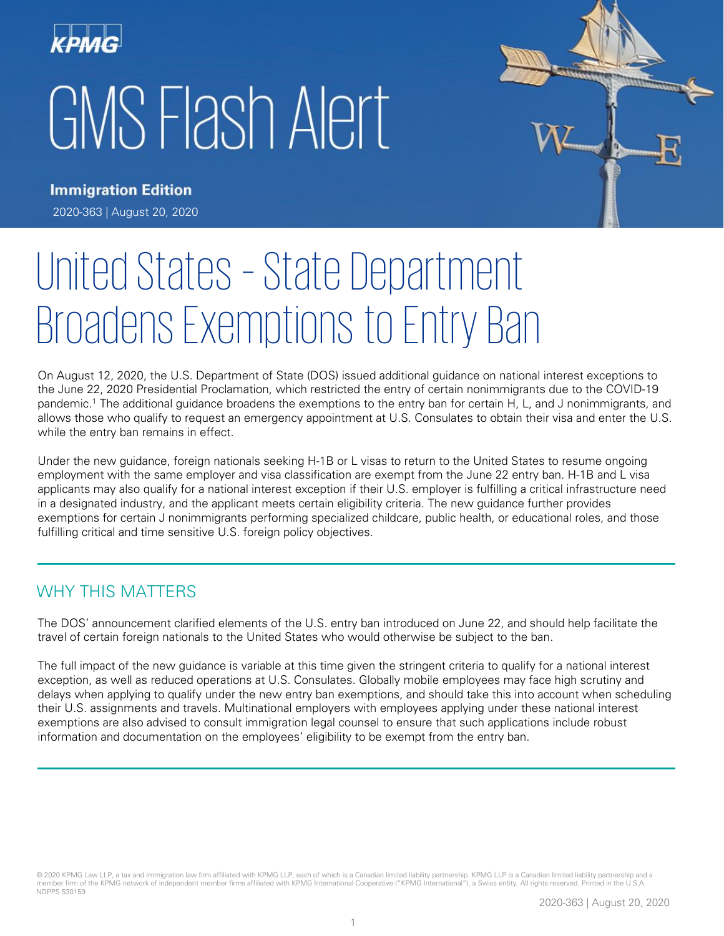



# United States – State Department Broadens Exemptions to Entry Ban

On August 12, 2020, the U.S. Department of State (DOS) issued additional guidance on national interest exceptions to the June 22, 2020 Presidential Proclamation, which restricted the entry of certain nonimmigrants due to the COVID-19 pandemic.<sup>1</sup> The additional guidance broadens the exemptions to the entry ban for certain H, L, and J nonimmigrants, and allows those who qualify to request an emergency appointment at U.S. Consulates to obtain their visa and enter the U.S. while the entry ban remains in effect.

Under the new guidance, foreign nationals seeking H-1B or L visas to return to the United States to resume ongoing employment with the same employer and visa classification are exempt from the June 22 entry ban. H-1B and L visa applicants may also qualify for a national interest exception if their U.S. employer is fulfilling a critical infrastructure need in a designated industry, and the applicant meets certain eligibility criteria. The new guidance further provides exemptions for certain J nonimmigrants performing specialized childcare, public health, or educational roles, and those fulfilling critical and time sensitive U.S. foreign policy objectives.

# WHY THIS MATTERS

The DOS' announcement clarified elements of the U.S. entry ban introduced on June 22, and should help facilitate the travel of certain foreign nationals to the United States who would otherwise be subject to the ban.

The full impact of the new guidance is variable at this time given the stringent criteria to qualify for a national interest exception, as well as reduced operations at U.S. Consulates. Globally mobile employees may face high scrutiny and delays when applying to qualify under the new entry ban exemptions, and should take this into account when scheduling their U.S. assignments and travels. Multinational employers with employees applying under these national interest exemptions are also advised to consult immigration legal counsel to ensure that such applications include robust information and documentation on the employees' eligibility to be exempt from the entry ban.

© 2020 KPMG Law LLP, a tax and immigration law firm affiliated with KPMG LLP, each of which is a Canadian limited liability partnership. KPMG LLP is a Canadian limited liability partnership and a member firm of the KPMG network of independent member firms affiliated with KPMG International Cooperative ("KPMG International"), a Swiss entity. All rights reserved. Printed in the U.S.A. NDPPS 530159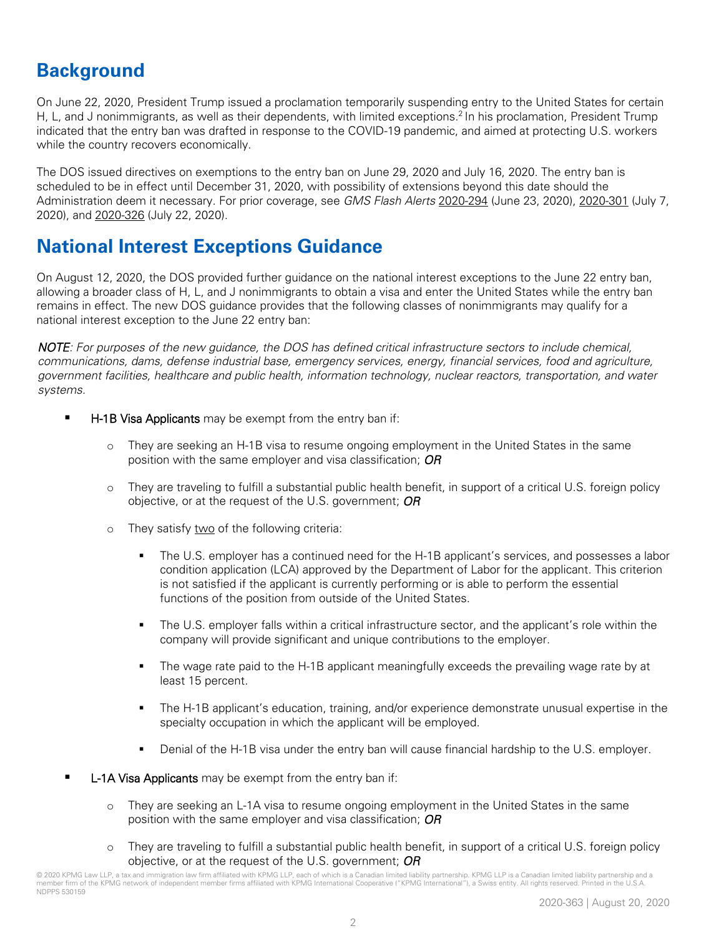# **Background**

On June 22, 2020, President Trump issued a proclamation temporarily suspending entry to the United States for certain H, L, and J nonimmigrants, as well as their dependents, with limited exceptions.<sup>2</sup> In his proclamation, President Trump indicated that the entry ban was drafted in response to the COVID-19 pandemic, and aimed at protecting U.S. workers while the country recovers economically.

The DOS issued directives on exemptions to the entry ban on June 29, 2020 and July 16, 2020. The entry ban is scheduled to be in effect until December 31, 2020, with possibility of extensions beyond this date should the Administration deem it necessary. For prior coverage, see *GMS Flash Alerts* [2020-294](https://home.kpmg/xx/en/home/insights/2020/06/flash-alert-2020-294.html) (June 23, 2020), [2020-301](https://home.kpmg/xx/en/home/insights/2020/07/flash-alert-2020-301.html) (July 7, 2020), and [2020-326](https://home.kpmg/xx/en/home/insights/2020/07/flash-alert-2020-326.html) (July 22, 2020).

# **National Interest Exceptions Guidance**

On August 12, 2020, the DOS provided further guidance on the national interest exceptions to the June 22 entry ban, allowing a broader class of H, L, and J nonimmigrants to obtain a visa and enter the United States while the entry ban remains in effect. The new DOS guidance provides that the following classes of nonimmigrants may qualify for a national interest exception to the June 22 entry ban:

*NOTE: For purposes of the new guidance, the DOS has defined critical infrastructure sectors to include chemical, communications, dams, defense industrial base, emergency services, energy, financial services, food and agriculture, government facilities, healthcare and public health, information technology, nuclear reactors, transportation, and water systems.*

- **H-1B Visa Applicants** may be exempt from the entry ban if:
	- They are seeking an H-1B visa to resume ongoing employment in the United States in the same position with the same employer and visa classification; *OR*
	- o They are traveling to fulfill a substantial public health benefit, in support of a critical U.S. foreign policy objective, or at the request of the U.S. government; *OR*
	- o They satisfy two of the following criteria:
		- The U.S. employer has a continued need for the H-1B applicant's services, and possesses a labor condition application (LCA) approved by the Department of Labor for the applicant. This criterion is not satisfied if the applicant is currently performing or is able to perform the essential functions of the position from outside of the United States.
		- The U.S. employer falls within a critical infrastructure sector, and the applicant's role within the company will provide significant and unique contributions to the employer.
		- The wage rate paid to the H-1B applicant meaningfully exceeds the prevailing wage rate by at least 15 percent.
		- The H-1B applicant's education, training, and/or experience demonstrate unusual expertise in the specialty occupation in which the applicant will be employed.
		- Denial of the H-1B visa under the entry ban will cause financial hardship to the U.S. employer.
- L-1A Visa Applicants may be exempt from the entry ban if:
	- o They are seeking an L-1A visa to resume ongoing employment in the United States in the same position with the same employer and visa classification; *OR*
	- o They are traveling to fulfill a substantial public health benefit, in support of a critical U.S. foreign policy objective, or at the request of the U.S. government; *OR*

<sup>© 2020</sup> KPMG Law LLP, a tax and immigration law firm affiliated with KPMG LLP, each of which is a Canadian limited liability partnership. KPMG LLP is a Canadian limited liability partnership and a member firm of the KPMG network of independent member firms affiliated with KPMG International Cooperative ("KPMG International"), a Swiss entity. All rights reserved. Printed in the U.S.A. NDPPS 530159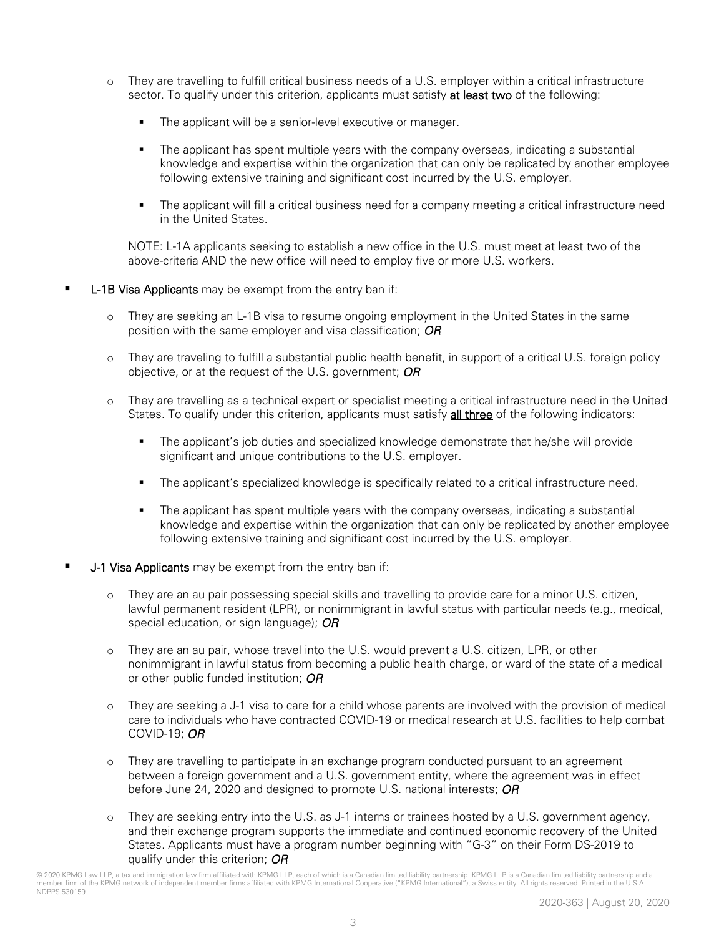- o They are travelling to fulfill critical business needs of a U.S. employer within a critical infrastructure sector. To qualify under this criterion, applicants must satisfy at least two of the following:
	- The applicant will be a senior-level executive or manager.
	- **•** The applicant has spent multiple years with the company overseas, indicating a substantial knowledge and expertise within the organization that can only be replicated by another employee following extensive training and significant cost incurred by the U.S. employer.
	- The applicant will fill a critical business need for a company meeting a critical infrastructure need in the United States.

NOTE: L-1A applicants seeking to establish a new office in the U.S. must meet at least two of the above-criteria AND the new office will need to employ five or more U.S. workers.

- **L-1B Visa Applicants** may be exempt from the entry ban if:
	- o They are seeking an L-1B visa to resume ongoing employment in the United States in the same position with the same employer and visa classification; *OR*
	- o They are traveling to fulfill a substantial public health benefit, in support of a critical U.S. foreign policy objective, or at the request of the U.S. government; *OR*
	- o They are travelling as a technical expert or specialist meeting a critical infrastructure need in the United States. To qualify under this criterion, applicants must satisfy all three of the following indicators:
		- **•** The applicant's job duties and specialized knowledge demonstrate that he/she will provide significant and unique contributions to the U.S. employer.
		- The applicant's specialized knowledge is specifically related to a critical infrastructure need.
		- **•** The applicant has spent multiple years with the company overseas, indicating a substantial knowledge and expertise within the organization that can only be replicated by another employee following extensive training and significant cost incurred by the U.S. employer.
- **J-1 Visa Applicants** may be exempt from the entry ban if:
	- o They are an au pair possessing special skills and travelling to provide care for a minor U.S. citizen, lawful permanent resident (LPR), or nonimmigrant in lawful status with particular needs (e.g., medical, special education, or sign language); *OR*
	- o They are an au pair, whose travel into the U.S. would prevent a U.S. citizen, LPR, or other nonimmigrant in lawful status from becoming a public health charge, or ward of the state of a medical or other public funded institution; *OR*
	- o They are seeking a J-1 visa to care for a child whose parents are involved with the provision of medical care to individuals who have contracted COVID-19 or medical research at U.S. facilities to help combat COVID-19; *OR*
	- o They are travelling to participate in an exchange program conducted pursuant to an agreement between a foreign government and a U.S. government entity, where the agreement was in effect before June 24, 2020 and designed to promote U.S. national interests; *OR*
	- o They are seeking entry into the U.S. as J-1 interns or trainees hosted by a U.S. government agency, and their exchange program supports the immediate and continued economic recovery of the United States. Applicants must have a program number beginning with "G-3" on their Form DS-2019 to qualify under this criterion; *OR*

<sup>© 2020</sup> KPMG Law LLP, a tax and immigration law firm affiliated with KPMG LLP, each of which is a Canadian limited liability partnership. KPMG LLP is a Canadian limited liability partnership and a member firm of the KPMG network of independent member firms affiliated with KPMG International Cooperative ("KPMG International"), a Swiss entity. All rights reserved. Printed in the U.S.A. NDPPS 530159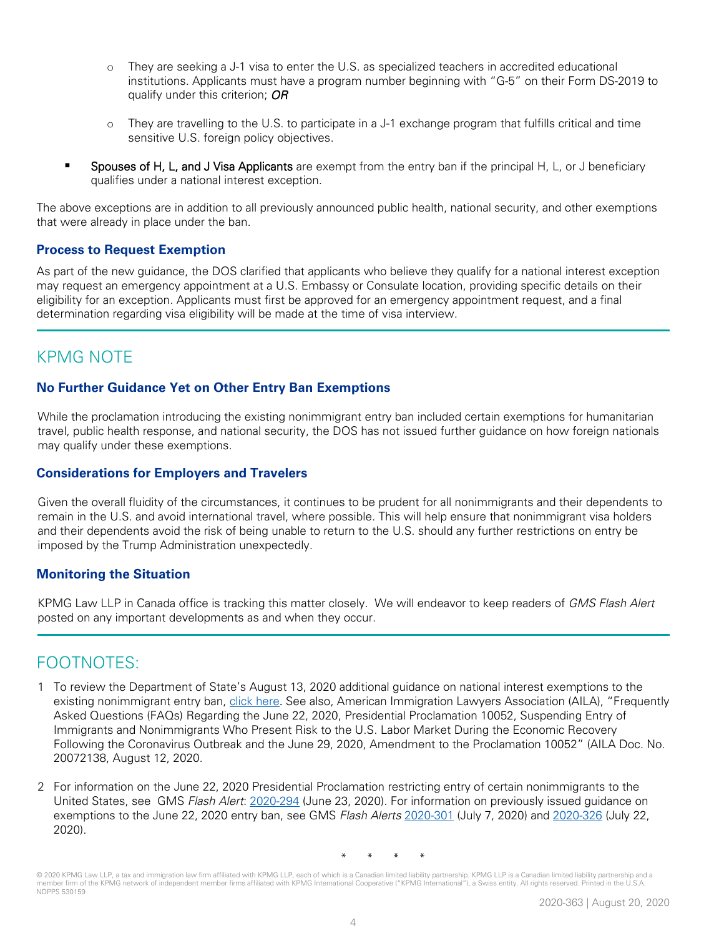- o They are seeking a J-1 visa to enter the U.S. as specialized teachers in accredited educational institutions. Applicants must have a program number beginning with "G-5" on their Form DS-2019 to qualify under this criterion; *OR*
- o They are travelling to the U.S. to participate in a J-1 exchange program that fulfills critical and time sensitive U.S. foreign policy objectives.
- Spouses of H, L, and J Visa Applicants are exempt from the entry ban if the principal H, L, or J beneficiary qualifies under a national interest exception.

The above exceptions are in addition to all previously announced public health, national security, and other exemptions that were already in place under the ban.

### **Process to Request Exemption**

As part of the new guidance, the DOS clarified that applicants who believe they qualify for a national interest exception may request an emergency appointment at a U.S. Embassy or Consulate location, providing specific details on their eligibility for an exception. Applicants must first be approved for an emergency appointment request, and a final determination regarding visa eligibility will be made at the time of visa interview.

## KPMG NOTE

## **No Further Guidance Yet on Other Entry Ban Exemptions**

While the proclamation introducing the existing nonimmigrant entry ban included certain exemptions for humanitarian travel, public health response, and national security, the DOS has not issued further guidance on how foreign nationals may qualify under these exemptions.

#### **Considerations for Employers and Travelers**

Given the overall fluidity of the circumstances, it continues to be prudent for all nonimmigrants and their dependents to remain in the U.S. and avoid international travel, where possible. This will help ensure that nonimmigrant visa holders and their dependents avoid the risk of being unable to return to the U.S. should any further restrictions on entry be imposed by the Trump Administration unexpectedly.

#### **Monitoring the Situation**

KPMG Law LLP in Canada office is tracking this matter closely. We will endeavor to keep readers of GMS Flash Alert posted on any important developments as and when they occur.

## FOOTNOTES:

- 1 To review the Department of State's August 13, 2020 additional guidance on national interest exemptions to the existing nonimmigrant entry ban, [click here](https://travel.state.gov/content/travel/en/News/visas-news/exceptions-to-p-p-10014-10052-suspending-entry-of-immigrants-non-immigrants-presenting-risk-to-us-labor-market-during-economic-recovery.html). See also, American Immigration Lawyers Association (AILA), "Frequently Asked Questions (FAQs) Regarding the June 22, 2020, Presidential Proclamation 10052, Suspending Entry of Immigrants and Nonimmigrants Who Present Risk to the U.S. Labor Market During the Economic Recovery Following the Coronavirus Outbreak and the June 29, 2020, Amendment to the Proclamation 10052" (AILA Doc. No. 20072138, August 12, 2020.
- 2 For information on the June 22, 2020 Presidential Proclamation restricting entry of certain nonimmigrants to the United States, see GMS Flash Alert: [2020-294](https://home.kpmg/xx/en/home/insights/2020/06/flash-alert-2020-294.html) (June 23, 2020). For information on previously issued guidance on exemptions to the June 22, 2020 entry ban, see GMS Flash Alerts [2020-301](https://home.kpmg/xx/en/home/insights/2020/07/flash-alert-2020-301.html) (July 7, 2020) and [2020-326](https://home.kpmg/xx/en/home/insights/2020/07/flash-alert-2020-326.html) (July 22, 2020).

\* \* \* \*

© 2020 KPMG Law LLP, a tax and immigration law firm affiliated with KPMG LLP, each of which is a Canadian limited liability partnership. KPMG LLP is a Canadian limited liability partnership and a member firm of the KPMG network of independent member firms affiliated with KPMG International Cooperative ("KPMG International"), a Swiss entity. All rights reserved. Printed in the U.S.A. NDPPS 530159